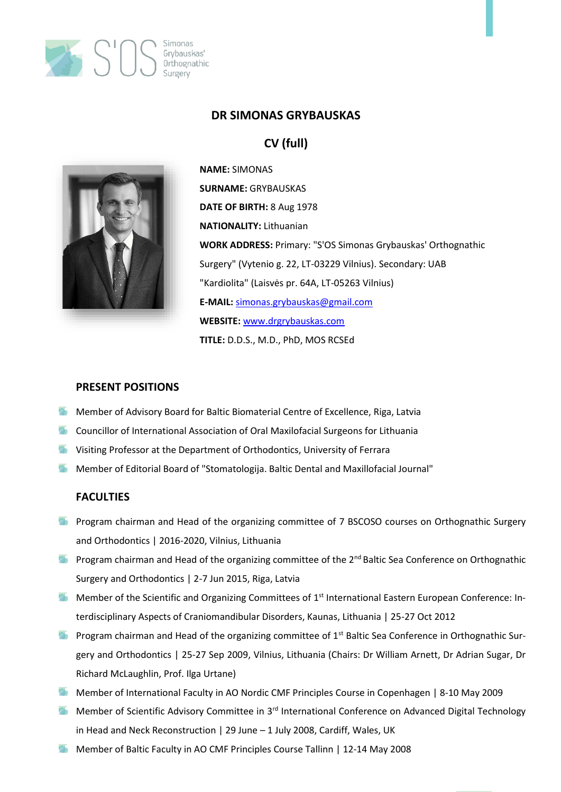

### **DR SIMONAS GRYBAUSKAS**

# **CV (full)**



**NAME:** SIMONAS **SURNAME:** GRYBAUSKAS **DATE OF BIRTH:** 8 Aug 1978 **NATIONALITY:** Lithuanian **WORK ADDRESS:** Primary: "S'OS Simonas Grybauskas' Orthognathic Surgery" (Vytenio g. 22, LT-03229 Vilnius). Secondary: UAB "Kardiolita" (Laisvės pr. 64A, LT-05263 Vilnius) **E-MAIL:** [simonas.grybauskas@gmail.com](mailto:simonas.grybauskas@gmail.com) **WEBSITE:** [www.drgrybauskas.com](http://www.drgrybauskas.com/) **TITLE:** D.D.S., M.D., PhD, MOS RCSEd

#### **PRESENT POSITIONS**

- Member of Advisory Board for Baltic Biomaterial Centre of Excellence, Riga, Latvia
- **The Councillor of International Association of Oral Maxilofacial Surgeons for Lithuania**
- **Wisiting Professor at the Department of Orthodontics, University of Ferrara**
- Member of Editorial Board of "Stomatologija. Baltic Dental and Maxillofacial Journal"

### **FACULTIES**

- **Program chairman and Head of the organizing committee of 7 BSCOSO courses on Orthognathic Surgery** and Orthodontics | 2016-2020, Vilnius, Lithuania
- **Program chairman and Head of the organizing committee of the 2<sup>nd</sup> Baltic Sea Conference on Orthognathic** Surgery and Orthodontics | 2-7 Jun 2015, Riga, Latvia
- **Member of the Scientific and Organizing Committees of 1st International Eastern European Conference: In**terdisciplinary Aspects of Craniomandibular Disorders, Kaunas, Lithuania | 25-27 Oct 2012
- **Program chairman and Head of the organizing committee of 1st Baltic Sea Conference in Orthognathic Sur**gery and Orthodontics | 25-27 Sep 2009, Vilnius, Lithuania (Chairs: Dr William Arnett, Dr Adrian Sugar, Dr Richard McLaughlin, Prof. Ilga Urtane)
- Member of International Faculty in AO Nordic CMF Principles Course in Copenhagen | 8-10 May 2009
- **Member of Scientific Advisory Committee in 3<sup>rd</sup> International Conference on Advanced Digital Technology** in Head and Neck Reconstruction | 29 June – 1 July 2008, Cardiff, Wales, UK
- Member of Baltic Faculty in AO CMF Principles Course Tallinn | 12-14 May 2008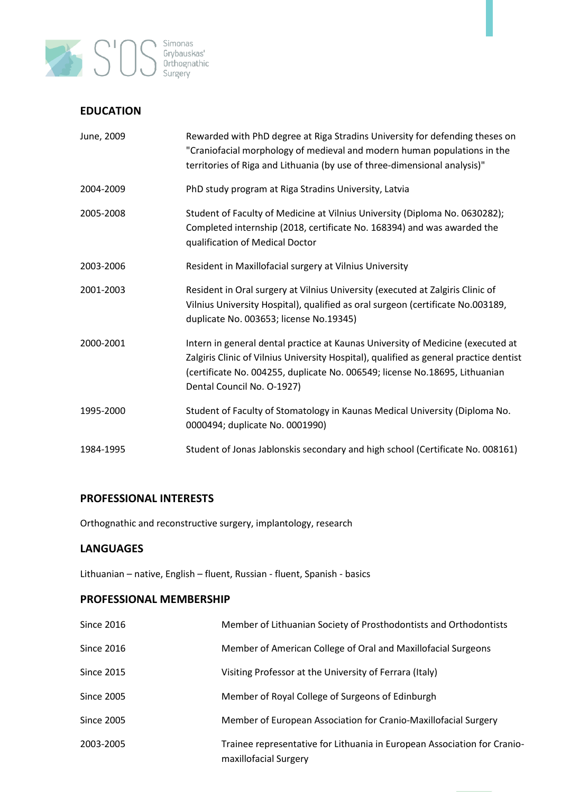

### **EDUCATION**

| June, 2009 | Rewarded with PhD degree at Riga Stradins University for defending theses on<br>"Craniofacial morphology of medieval and modern human populations in the<br>territories of Riga and Lithuania (by use of three-dimensional analysis)"                                                  |
|------------|----------------------------------------------------------------------------------------------------------------------------------------------------------------------------------------------------------------------------------------------------------------------------------------|
| 2004-2009  | PhD study program at Riga Stradins University, Latvia                                                                                                                                                                                                                                  |
| 2005-2008  | Student of Faculty of Medicine at Vilnius University (Diploma No. 0630282);<br>Completed internship (2018, certificate No. 168394) and was awarded the<br>qualification of Medical Doctor                                                                                              |
| 2003-2006  | Resident in Maxillofacial surgery at Vilnius University                                                                                                                                                                                                                                |
| 2001-2003  | Resident in Oral surgery at Vilnius University (executed at Zalgiris Clinic of<br>Vilnius University Hospital), qualified as oral surgeon (certificate No.003189,<br>duplicate No. 003653; license No.19345)                                                                           |
| 2000-2001  | Intern in general dental practice at Kaunas University of Medicine (executed at<br>Zalgiris Clinic of Vilnius University Hospital), qualified as general practice dentist<br>(certificate No. 004255, duplicate No. 006549; license No.18695, Lithuanian<br>Dental Council No. O-1927) |
| 1995-2000  | Student of Faculty of Stomatology in Kaunas Medical University (Diploma No.<br>0000494; duplicate No. 0001990)                                                                                                                                                                         |
| 1984-1995  | Student of Jonas Jablonskis secondary and high school (Certificate No. 008161)                                                                                                                                                                                                         |

### **PROFESSIONAL INTERESTS**

Orthognathic and reconstructive surgery, implantology, research

### **LANGUAGES**

Lithuanian – native, English – fluent, Russian - fluent, Spanish - basics

### **PROFESSIONAL MEMBERSHIP**

| <b>Since 2016</b> | Member of Lithuanian Society of Prosthodontists and Orthodontists                                 |
|-------------------|---------------------------------------------------------------------------------------------------|
| <b>Since 2016</b> | Member of American College of Oral and Maxillofacial Surgeons                                     |
| <b>Since 2015</b> | Visiting Professor at the University of Ferrara (Italy)                                           |
| <b>Since 2005</b> | Member of Royal College of Surgeons of Edinburgh                                                  |
| <b>Since 2005</b> | Member of European Association for Cranio-Maxillofacial Surgery                                   |
| 2003-2005         | Trainee representative for Lithuania in European Association for Cranio-<br>maxillofacial Surgery |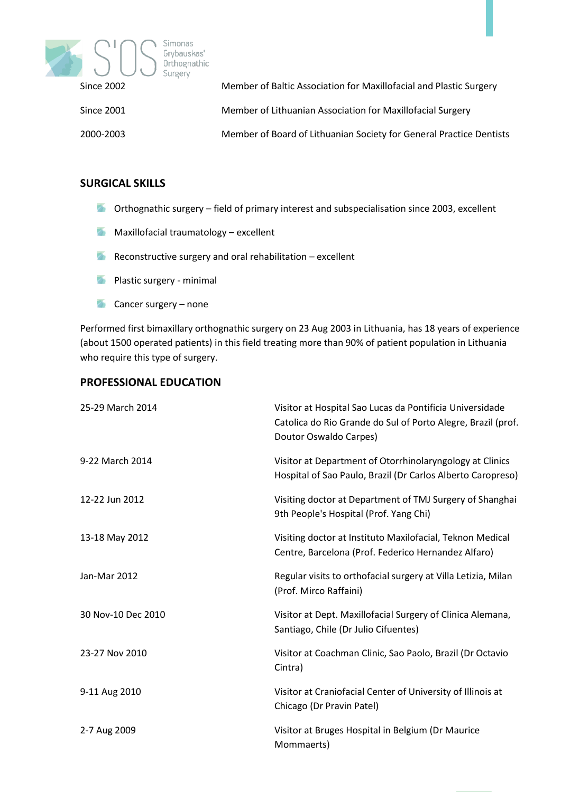

| Since 2002 | Member of Baltic Association for Maxillofacial and Plastic Surgery  |
|------------|---------------------------------------------------------------------|
| Since 2001 | Member of Lithuanian Association for Maxillofacial Surgery          |
| 2000-2003  | Member of Board of Lithuanian Society for General Practice Dentists |

### **SURGICAL SKILLS**

- **The Orthognathic surgery field of primary interest and subspecialisation since 2003, excellent**
- **Maxillofacial traumatology excellent**
- Reconstructive surgery and oral rehabilitation excellent
- **Plastic surgery minimal**
- $\overline{\mathcal{L}}$ Cancer surgery – none

Performed first bimaxillary orthognathic surgery on 23 Aug 2003 in Lithuania, has 18 years of experience (about 1500 operated patients) in this field treating more than 90% of patient population in Lithuania who require this type of surgery.

### **PROFESSIONAL EDUCATION**

| 25-29 March 2014   | Visitor at Hospital Sao Lucas da Pontificia Universidade<br>Catolica do Rio Grande do Sul of Porto Alegre, Brazil (prof.<br>Doutor Oswaldo Carpes) |
|--------------------|----------------------------------------------------------------------------------------------------------------------------------------------------|
| 9-22 March 2014    | Visitor at Department of Otorrhinolaryngology at Clinics<br>Hospital of Sao Paulo, Brazil (Dr Carlos Alberto Caropreso)                            |
| 12-22 Jun 2012     | Visiting doctor at Department of TMJ Surgery of Shanghai<br>9th People's Hospital (Prof. Yang Chi)                                                 |
| 13-18 May 2012     | Visiting doctor at Instituto Maxilofacial, Teknon Medical<br>Centre, Barcelona (Prof. Federico Hernandez Alfaro)                                   |
| Jan-Mar 2012       | Regular visits to orthofacial surgery at Villa Letizia, Milan<br>(Prof. Mirco Raffaini)                                                            |
| 30 Nov-10 Dec 2010 | Visitor at Dept. Maxillofacial Surgery of Clinica Alemana,<br>Santiago, Chile (Dr Julio Cifuentes)                                                 |
| 23-27 Nov 2010     | Visitor at Coachman Clinic, Sao Paolo, Brazil (Dr Octavio<br>Cintra)                                                                               |
| 9-11 Aug 2010      | Visitor at Craniofacial Center of University of Illinois at<br>Chicago (Dr Pravin Patel)                                                           |
| 2-7 Aug 2009       | Visitor at Bruges Hospital in Belgium (Dr Maurice<br>Mommaerts)                                                                                    |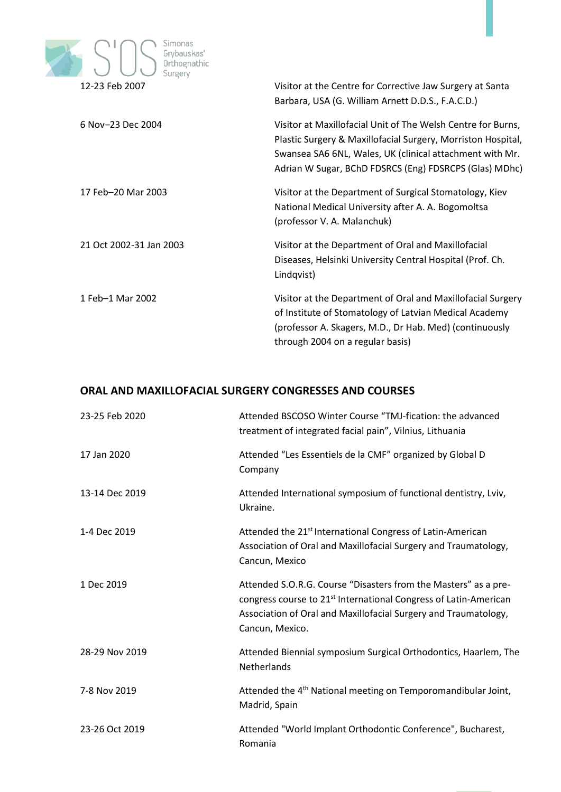

|                         | Barbara, USA (G. William Arnett D.D.S., F.A.C.D.)                                                                                                                                                                                                  |
|-------------------------|----------------------------------------------------------------------------------------------------------------------------------------------------------------------------------------------------------------------------------------------------|
| 6 Nov-23 Dec 2004       | Visitor at Maxillofacial Unit of The Welsh Centre for Burns,<br>Plastic Surgery & Maxillofacial Surgery, Morriston Hospital,<br>Swansea SA6 6NL, Wales, UK (clinical attachment with Mr.<br>Adrian W Sugar, BChD FDSRCS (Eng) FDSRCPS (Glas) MDhc) |
| 17 Feb-20 Mar 2003      | Visitor at the Department of Surgical Stomatology, Kiev<br>National Medical University after A. A. Bogomoltsa<br>(professor V. A. Malanchuk)                                                                                                       |
| 21 Oct 2002-31 Jan 2003 | Visitor at the Department of Oral and Maxillofacial<br>Diseases, Helsinki University Central Hospital (Prof. Ch.<br>Lindqvist)                                                                                                                     |
| 1 Feb-1 Mar 2002        | Visitor at the Department of Oral and Maxillofacial Surgery<br>of Institute of Stomatology of Latvian Medical Academy<br>(professor A. Skagers, M.D., Dr Hab. Med) (continuously<br>through 2004 on a regular basis)                               |

### **ORAL AND MAXILLOFACIAL SURGERY CONGRESSES AND COURSES**

| 23-25 Feb 2020 | Attended BSCOSO Winter Course "TMJ-fication: the advanced<br>treatment of integrated facial pain", Vilnius, Lithuania                                                                                                                 |
|----------------|---------------------------------------------------------------------------------------------------------------------------------------------------------------------------------------------------------------------------------------|
| 17 Jan 2020    | Attended "Les Essentiels de la CMF" organized by Global D<br>Company                                                                                                                                                                  |
| 13-14 Dec 2019 | Attended International symposium of functional dentistry, Lviv,<br>Ukraine.                                                                                                                                                           |
| 1-4 Dec 2019   | Attended the 21 <sup>st</sup> International Congress of Latin-American<br>Association of Oral and Maxillofacial Surgery and Traumatology,<br>Cancun, Mexico                                                                           |
| 1 Dec 2019     | Attended S.O.R.G. Course "Disasters from the Masters" as a pre-<br>congress course to 21 <sup>st</sup> International Congress of Latin-American<br>Association of Oral and Maxillofacial Surgery and Traumatology,<br>Cancun, Mexico. |
| 28-29 Nov 2019 | Attended Biennial symposium Surgical Orthodontics, Haarlem, The<br>Netherlands                                                                                                                                                        |
| 7-8 Nov 2019   | Attended the 4 <sup>th</sup> National meeting on Temporomandibular Joint,<br>Madrid, Spain                                                                                                                                            |
| 23-26 Oct 2019 | Attended "World Implant Orthodontic Conference", Bucharest,<br>Romania                                                                                                                                                                |
|                |                                                                                                                                                                                                                                       |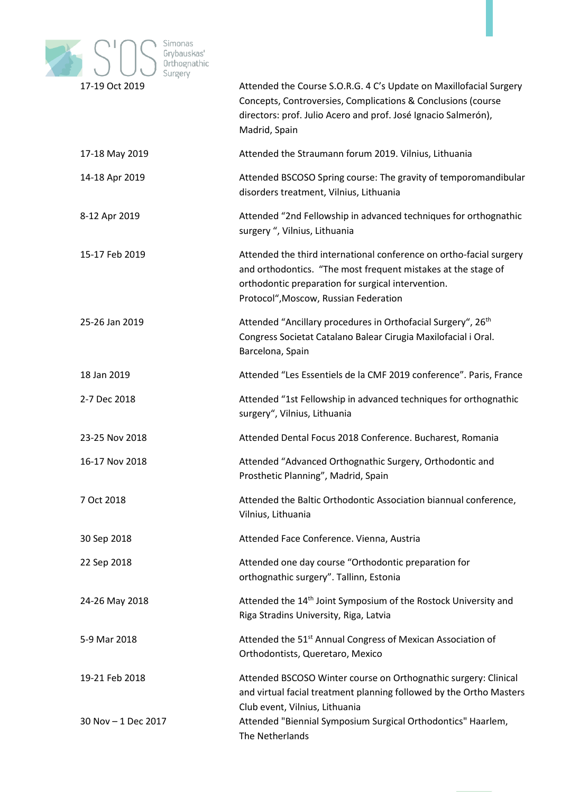

| 17-19 Oct 2019      | Attended the Course S.O.R.G. 4 C's Update on Maxillofacial Surgery<br>Concepts, Controversies, Complications & Conclusions (course<br>directors: prof. Julio Acero and prof. José Ignacio Salmerón),<br>Madrid, Spain               |
|---------------------|-------------------------------------------------------------------------------------------------------------------------------------------------------------------------------------------------------------------------------------|
| 17-18 May 2019      | Attended the Straumann forum 2019. Vilnius, Lithuania                                                                                                                                                                               |
| 14-18 Apr 2019      | Attended BSCOSO Spring course: The gravity of temporomandibular<br>disorders treatment, Vilnius, Lithuania                                                                                                                          |
| 8-12 Apr 2019       | Attended "2nd Fellowship in advanced techniques for orthognathic<br>surgery ", Vilnius, Lithuania                                                                                                                                   |
| 15-17 Feb 2019      | Attended the third international conference on ortho-facial surgery<br>and orthodontics. "The most frequent mistakes at the stage of<br>orthodontic preparation for surgical intervention.<br>Protocol", Moscow, Russian Federation |
| 25-26 Jan 2019      | Attended "Ancillary procedures in Orthofacial Surgery", 26 <sup>th</sup><br>Congress Societat Catalano Balear Cirugia Maxilofacial i Oral.<br>Barcelona, Spain                                                                      |
| 18 Jan 2019         | Attended "Les Essentiels de la CMF 2019 conference". Paris, France                                                                                                                                                                  |
| 2-7 Dec 2018        | Attended "1st Fellowship in advanced techniques for orthognathic<br>surgery", Vilnius, Lithuania                                                                                                                                    |
| 23-25 Nov 2018      | Attended Dental Focus 2018 Conference. Bucharest, Romania                                                                                                                                                                           |
| 16-17 Nov 2018      | Attended "Advanced Orthognathic Surgery, Orthodontic and<br>Prosthetic Planning", Madrid, Spain                                                                                                                                     |
| 7 Oct 2018          | Attended the Baltic Orthodontic Association biannual conference,<br>Vilnius, Lithuania                                                                                                                                              |
| 30 Sep 2018         | Attended Face Conference. Vienna, Austria                                                                                                                                                                                           |
| 22 Sep 2018         | Attended one day course "Orthodontic preparation for<br>orthognathic surgery". Tallinn, Estonia                                                                                                                                     |
| 24-26 May 2018      | Attended the 14 <sup>th</sup> Joint Symposium of the Rostock University and<br>Riga Stradins University, Riga, Latvia                                                                                                               |
| 5-9 Mar 2018        | Attended the 51 <sup>st</sup> Annual Congress of Mexican Association of<br>Orthodontists, Queretaro, Mexico                                                                                                                         |
| 19-21 Feb 2018      | Attended BSCOSO Winter course on Orthognathic surgery: Clinical<br>and virtual facial treatment planning followed by the Ortho Masters<br>Club event, Vilnius, Lithuania                                                            |
| 30 Nov - 1 Dec 2017 | Attended "Biennial Symposium Surgical Orthodontics" Haarlem,<br>The Netherlands                                                                                                                                                     |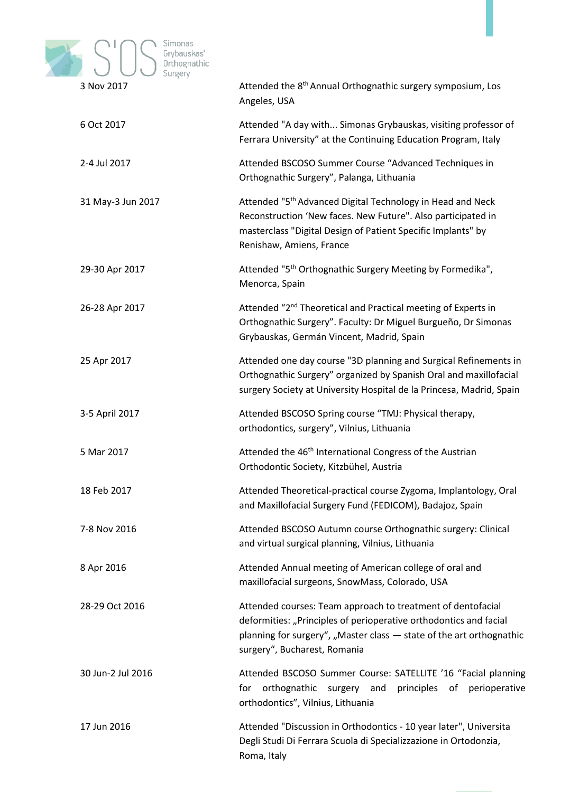

| 3 NOV 2017        | Attended the 8°' Annual Orthoghathic surgery symposium, Los<br>Angeles, USA                                                                                                                                                              |
|-------------------|------------------------------------------------------------------------------------------------------------------------------------------------------------------------------------------------------------------------------------------|
| 6 Oct 2017        | Attended "A day with Simonas Grybauskas, visiting professor of<br>Ferrara University" at the Continuing Education Program, Italy                                                                                                         |
| 2-4 Jul 2017      | Attended BSCOSO Summer Course "Advanced Techniques in<br>Orthognathic Surgery", Palanga, Lithuania                                                                                                                                       |
| 31 May-3 Jun 2017 | Attended "5 <sup>th</sup> Advanced Digital Technology in Head and Neck<br>Reconstruction 'New faces. New Future". Also participated in<br>masterclass "Digital Design of Patient Specific Implants" by<br>Renishaw, Amiens, France       |
| 29-30 Apr 2017    | Attended "5 <sup>th</sup> Orthognathic Surgery Meeting by Formedika",<br>Menorca, Spain                                                                                                                                                  |
| 26-28 Apr 2017    | Attended "2 <sup>nd</sup> Theoretical and Practical meeting of Experts in<br>Orthognathic Surgery". Faculty: Dr Miguel Burgueño, Dr Simonas<br>Grybauskas, Germán Vincent, Madrid, Spain                                                 |
| 25 Apr 2017       | Attended one day course "3D planning and Surgical Refinements in<br>Orthognathic Surgery" organized by Spanish Oral and maxillofacial<br>surgery Society at University Hospital de la Princesa, Madrid, Spain                            |
| 3-5 April 2017    | Attended BSCOSO Spring course "TMJ: Physical therapy,<br>orthodontics, surgery", Vilnius, Lithuania                                                                                                                                      |
| 5 Mar 2017        | Attended the 46 <sup>th</sup> International Congress of the Austrian<br>Orthodontic Society, Kitzbühel, Austria                                                                                                                          |
| 18 Feb 2017       | Attended Theoretical-practical course Zygoma, Implantology, Oral<br>and Maxillofacial Surgery Fund (FEDICOM), Badajoz, Spain                                                                                                             |
| 7-8 Nov 2016      | Attended BSCOSO Autumn course Orthognathic surgery: Clinical<br>and virtual surgical planning, Vilnius, Lithuania                                                                                                                        |
| 8 Apr 2016        | Attended Annual meeting of American college of oral and<br>maxillofacial surgeons, SnowMass, Colorado, USA                                                                                                                               |
| 28-29 Oct 2016    | Attended courses: Team approach to treatment of dentofacial<br>deformities: "Principles of perioperative orthodontics and facial<br>planning for surgery", "Master class - state of the art orthognathic<br>surgery", Bucharest, Romania |
| 30 Jun-2 Jul 2016 | Attended BSCOSO Summer Course: SATELLITE '16 "Facial planning<br>orthognathic surgery and principles of perioperative<br>for<br>orthodontics", Vilnius, Lithuania                                                                        |
| 17 Jun 2016       | Attended "Discussion in Orthodontics - 10 year later", Universita<br>Degli Studi Di Ferrara Scuola di Specializzazione in Ortodonzia,<br>Roma, Italy                                                                                     |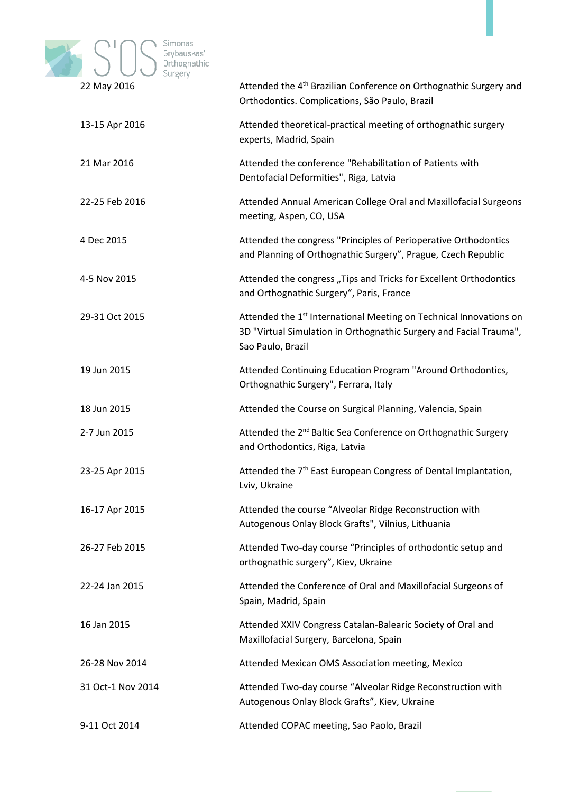

|                   | Orthodontics. Complications, São Paulo, Brazil                                                                                                                            |
|-------------------|---------------------------------------------------------------------------------------------------------------------------------------------------------------------------|
| 13-15 Apr 2016    | Attended theoretical-practical meeting of orthognathic surgery<br>experts, Madrid, Spain                                                                                  |
| 21 Mar 2016       | Attended the conference "Rehabilitation of Patients with<br>Dentofacial Deformities", Riga, Latvia                                                                        |
| 22-25 Feb 2016    | Attended Annual American College Oral and Maxillofacial Surgeons<br>meeting, Aspen, CO, USA                                                                               |
| 4 Dec 2015        | Attended the congress "Principles of Perioperative Orthodontics<br>and Planning of Orthognathic Surgery", Prague, Czech Republic                                          |
| 4-5 Nov 2015      | Attended the congress "Tips and Tricks for Excellent Orthodontics<br>and Orthognathic Surgery", Paris, France                                                             |
| 29-31 Oct 2015    | Attended the 1 <sup>st</sup> International Meeting on Technical Innovations on<br>3D "Virtual Simulation in Orthognathic Surgery and Facial Trauma",<br>Sao Paulo, Brazil |
| 19 Jun 2015       | Attended Continuing Education Program "Around Orthodontics,<br>Orthognathic Surgery", Ferrara, Italy                                                                      |
| 18 Jun 2015       | Attended the Course on Surgical Planning, Valencia, Spain                                                                                                                 |
| 2-7 Jun 2015      | Attended the 2 <sup>nd</sup> Baltic Sea Conference on Orthognathic Surgery<br>and Orthodontics, Riga, Latvia                                                              |
| 23-25 Apr 2015    | Attended the 7 <sup>th</sup> East European Congress of Dental Implantation,<br>Lviv, Ukraine                                                                              |
| 16-17 Apr 2015    | Attended the course "Alveolar Ridge Reconstruction with<br>Autogenous Onlay Block Grafts", Vilnius, Lithuania                                                             |
| 26-27 Feb 2015    | Attended Two-day course "Principles of orthodontic setup and<br>orthognathic surgery", Kiev, Ukraine                                                                      |
| 22-24 Jan 2015    | Attended the Conference of Oral and Maxillofacial Surgeons of<br>Spain, Madrid, Spain                                                                                     |
| 16 Jan 2015       | Attended XXIV Congress Catalan-Balearic Society of Oral and<br>Maxillofacial Surgery, Barcelona, Spain                                                                    |
| 26-28 Nov 2014    | Attended Mexican OMS Association meeting, Mexico                                                                                                                          |
| 31 Oct-1 Nov 2014 | Attended Two-day course "Alveolar Ridge Reconstruction with<br>Autogenous Onlay Block Grafts", Kiev, Ukraine                                                              |

9-11 Oct 2014 Attended COPAC meeting, Sao Paolo, Brazil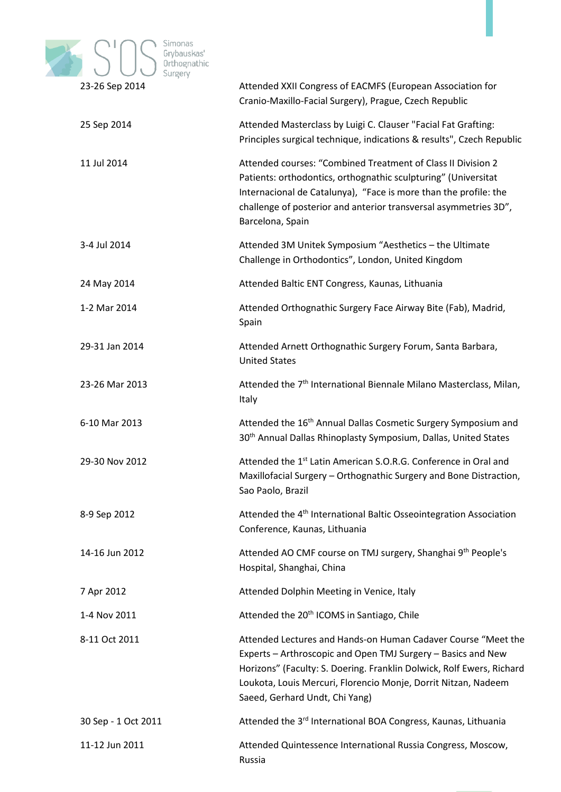

| 23-20 Sep 2014      | Attended XXII Congress of EACNIFS (European Association for<br>Cranio-Maxillo-Facial Surgery), Prague, Czech Republic                                                                                                                                                                                      |
|---------------------|------------------------------------------------------------------------------------------------------------------------------------------------------------------------------------------------------------------------------------------------------------------------------------------------------------|
| 25 Sep 2014         | Attended Masterclass by Luigi C. Clauser "Facial Fat Grafting:<br>Principles surgical technique, indications & results", Czech Republic                                                                                                                                                                    |
| 11 Jul 2014         | Attended courses: "Combined Treatment of Class II Division 2<br>Patients: orthodontics, orthognathic sculpturing" (Universitat<br>Internacional de Catalunya), "Face is more than the profile: the<br>challenge of posterior and anterior transversal asymmetries 3D",<br>Barcelona, Spain                 |
| 3-4 Jul 2014        | Attended 3M Unitek Symposium "Aesthetics - the Ultimate<br>Challenge in Orthodontics", London, United Kingdom                                                                                                                                                                                              |
| 24 May 2014         | Attended Baltic ENT Congress, Kaunas, Lithuania                                                                                                                                                                                                                                                            |
| 1-2 Mar 2014        | Attended Orthognathic Surgery Face Airway Bite (Fab), Madrid,<br>Spain                                                                                                                                                                                                                                     |
| 29-31 Jan 2014      | Attended Arnett Orthognathic Surgery Forum, Santa Barbara,<br><b>United States</b>                                                                                                                                                                                                                         |
| 23-26 Mar 2013      | Attended the 7 <sup>th</sup> International Biennale Milano Masterclass, Milan,<br>Italy                                                                                                                                                                                                                    |
| 6-10 Mar 2013       | Attended the 16 <sup>th</sup> Annual Dallas Cosmetic Surgery Symposium and<br>30 <sup>th</sup> Annual Dallas Rhinoplasty Symposium, Dallas, United States                                                                                                                                                  |
| 29-30 Nov 2012      | Attended the 1 <sup>st</sup> Latin American S.O.R.G. Conference in Oral and<br>Maxillofacial Surgery - Orthognathic Surgery and Bone Distraction,<br>Sao Paolo, Brazil                                                                                                                                     |
| 8-9 Sep 2012        | Attended the 4 <sup>th</sup> International Baltic Osseointegration Association<br>Conference, Kaunas, Lithuania                                                                                                                                                                                            |
| 14-16 Jun 2012      | Attended AO CMF course on TMJ surgery, Shanghai 9th People's<br>Hospital, Shanghai, China                                                                                                                                                                                                                  |
| 7 Apr 2012          | Attended Dolphin Meeting in Venice, Italy                                                                                                                                                                                                                                                                  |
| 1-4 Nov 2011        | Attended the 20 <sup>th</sup> ICOMS in Santiago, Chile                                                                                                                                                                                                                                                     |
| 8-11 Oct 2011       | Attended Lectures and Hands-on Human Cadaver Course "Meet the<br>Experts - Arthroscopic and Open TMJ Surgery - Basics and New<br>Horizons" (Faculty: S. Doering. Franklin Dolwick, Rolf Ewers, Richard<br>Loukota, Louis Mercuri, Florencio Monje, Dorrit Nitzan, Nadeem<br>Saeed, Gerhard Undt, Chi Yang) |
| 30 Sep - 1 Oct 2011 | Attended the 3rd International BOA Congress, Kaunas, Lithuania                                                                                                                                                                                                                                             |
| 11-12 Jun 2011      | Attended Quintessence International Russia Congress, Moscow,<br>Russia                                                                                                                                                                                                                                     |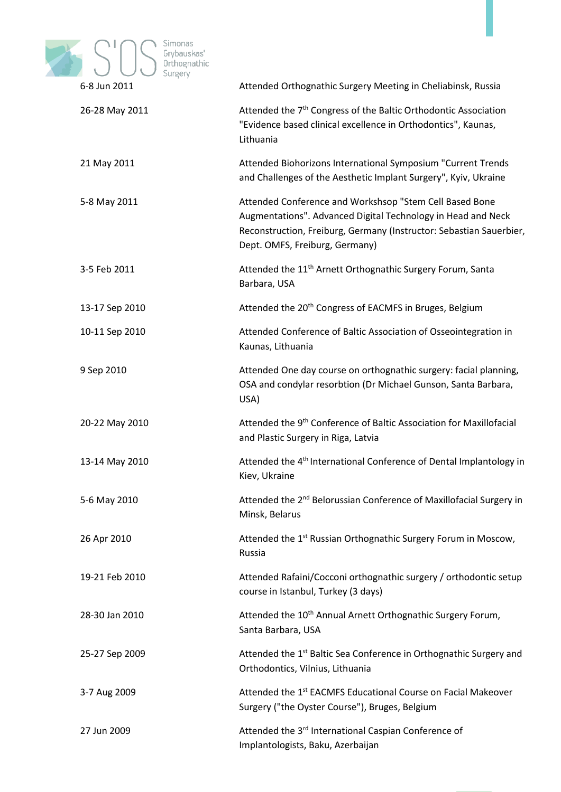

|                | ritended Orthognatine Surgery ivideting in enematingly hassid                                                                                                                                                                    |
|----------------|----------------------------------------------------------------------------------------------------------------------------------------------------------------------------------------------------------------------------------|
| 26-28 May 2011 | Attended the 7 <sup>th</sup> Congress of the Baltic Orthodontic Association<br>"Evidence based clinical excellence in Orthodontics", Kaunas,<br>Lithuania                                                                        |
| 21 May 2011    | Attended Biohorizons International Symposium "Current Trends<br>and Challenges of the Aesthetic Implant Surgery", Kyiv, Ukraine                                                                                                  |
| 5-8 May 2011   | Attended Conference and Workshsop "Stem Cell Based Bone<br>Augmentations". Advanced Digital Technology in Head and Neck<br>Reconstruction, Freiburg, Germany (Instructor: Sebastian Sauerbier,<br>Dept. OMFS, Freiburg, Germany) |
| 3-5 Feb 2011   | Attended the 11 <sup>th</sup> Arnett Orthognathic Surgery Forum, Santa<br>Barbara, USA                                                                                                                                           |
| 13-17 Sep 2010 | Attended the 20 <sup>th</sup> Congress of EACMFS in Bruges, Belgium                                                                                                                                                              |
| 10-11 Sep 2010 | Attended Conference of Baltic Association of Osseointegration in<br>Kaunas, Lithuania                                                                                                                                            |
| 9 Sep 2010     | Attended One day course on orthognathic surgery: facial planning,<br>OSA and condylar resorbtion (Dr Michael Gunson, Santa Barbara,<br>USA)                                                                                      |
| 20-22 May 2010 | Attended the 9 <sup>th</sup> Conference of Baltic Association for Maxillofacial<br>and Plastic Surgery in Riga, Latvia                                                                                                           |
| 13-14 May 2010 | Attended the 4 <sup>th</sup> International Conference of Dental Implantology in<br>Kiev, Ukraine                                                                                                                                 |
| 5-6 May 2010   | Attended the 2 <sup>nd</sup> Belorussian Conference of Maxillofacial Surgery in<br>Minsk, Belarus                                                                                                                                |
| 26 Apr 2010    | Attended the 1st Russian Orthognathic Surgery Forum in Moscow,<br>Russia                                                                                                                                                         |
| 19-21 Feb 2010 | Attended Rafaini/Cocconi orthognathic surgery / orthodontic setup<br>course in Istanbul, Turkey (3 days)                                                                                                                         |
| 28-30 Jan 2010 | Attended the 10 <sup>th</sup> Annual Arnett Orthognathic Surgery Forum,<br>Santa Barbara, USA                                                                                                                                    |
| 25-27 Sep 2009 | Attended the 1 <sup>st</sup> Baltic Sea Conference in Orthognathic Surgery and<br>Orthodontics, Vilnius, Lithuania                                                                                                               |
| 3-7 Aug 2009   | Attended the 1 <sup>st</sup> EACMFS Educational Course on Facial Makeover<br>Surgery ("the Oyster Course"), Bruges, Belgium                                                                                                      |
| 27 Jun 2009    | Attended the 3rd International Caspian Conference of                                                                                                                                                                             |

Implantologists, Baku, Azerbaijan

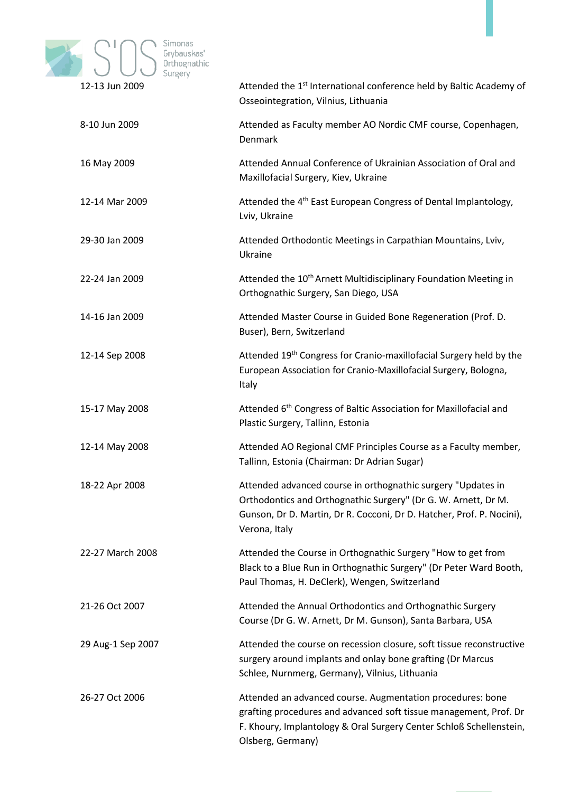

| 17-13 JUN ZUUY    | Attended the 1st international conference held by Baltic Academy of<br>Osseointegration, Vilnius, Lithuania                                                                                                                 |
|-------------------|-----------------------------------------------------------------------------------------------------------------------------------------------------------------------------------------------------------------------------|
| 8-10 Jun 2009     | Attended as Faculty member AO Nordic CMF course, Copenhagen,<br>Denmark                                                                                                                                                     |
| 16 May 2009       | Attended Annual Conference of Ukrainian Association of Oral and<br>Maxillofacial Surgery, Kiev, Ukraine                                                                                                                     |
| 12-14 Mar 2009    | Attended the 4 <sup>th</sup> East European Congress of Dental Implantology,<br>Lviv, Ukraine                                                                                                                                |
| 29-30 Jan 2009    | Attended Orthodontic Meetings in Carpathian Mountains, Lviv,<br>Ukraine                                                                                                                                                     |
| 22-24 Jan 2009    | Attended the 10 <sup>th</sup> Arnett Multidisciplinary Foundation Meeting in<br>Orthognathic Surgery, San Diego, USA                                                                                                        |
| 14-16 Jan 2009    | Attended Master Course in Guided Bone Regeneration (Prof. D.<br>Buser), Bern, Switzerland                                                                                                                                   |
| 12-14 Sep 2008    | Attended 19th Congress for Cranio-maxillofacial Surgery held by the<br>European Association for Cranio-Maxillofacial Surgery, Bologna,<br>Italy                                                                             |
| 15-17 May 2008    | Attended 6 <sup>th</sup> Congress of Baltic Association for Maxillofacial and<br>Plastic Surgery, Tallinn, Estonia                                                                                                          |
| 12-14 May 2008    | Attended AO Regional CMF Principles Course as a Faculty member,<br>Tallinn, Estonia (Chairman: Dr Adrian Sugar)                                                                                                             |
| 18-22 Apr 2008    | Attended advanced course in orthognathic surgery "Updates in<br>Orthodontics and Orthognathic Surgery" (Dr G. W. Arnett, Dr M.<br>Gunson, Dr D. Martin, Dr R. Cocconi, Dr D. Hatcher, Prof. P. Nocini),<br>Verona, Italy    |
| 22-27 March 2008  | Attended the Course in Orthognathic Surgery "How to get from<br>Black to a Blue Run in Orthognathic Surgery" (Dr Peter Ward Booth,<br>Paul Thomas, H. DeClerk), Wengen, Switzerland                                         |
| 21-26 Oct 2007    | Attended the Annual Orthodontics and Orthognathic Surgery<br>Course (Dr G. W. Arnett, Dr M. Gunson), Santa Barbara, USA                                                                                                     |
| 29 Aug-1 Sep 2007 | Attended the course on recession closure, soft tissue reconstructive<br>surgery around implants and onlay bone grafting (Dr Marcus<br>Schlee, Nurnmerg, Germany), Vilnius, Lithuania                                        |
| 26-27 Oct 2006    | Attended an advanced course. Augmentation procedures: bone<br>grafting procedures and advanced soft tissue management, Prof. Dr<br>F. Khoury, Implantology & Oral Surgery Center Schloß Schellenstein,<br>Olsberg, Germany) |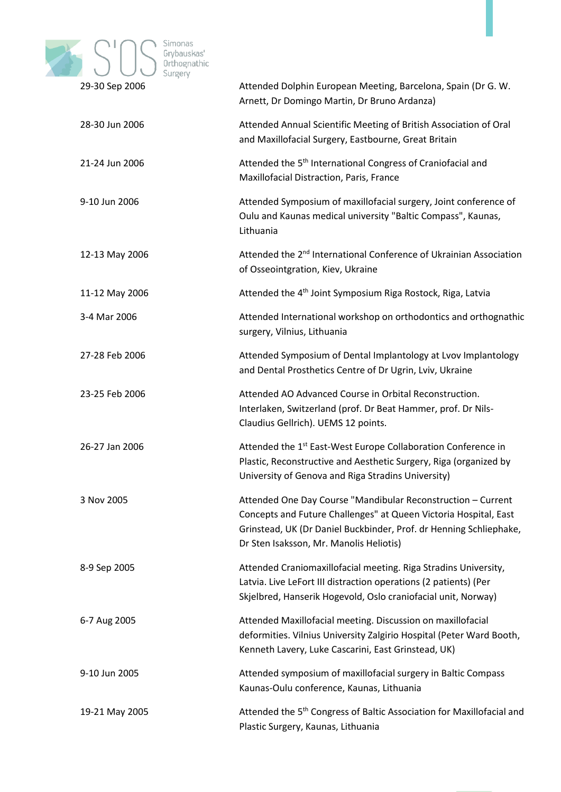

|                | Arnett, Dr Domingo Martin, Dr Bruno Ardanza)                                                                                                                                                                                                      |
|----------------|---------------------------------------------------------------------------------------------------------------------------------------------------------------------------------------------------------------------------------------------------|
| 28-30 Jun 2006 | Attended Annual Scientific Meeting of British Association of Oral<br>and Maxillofacial Surgery, Eastbourne, Great Britain                                                                                                                         |
| 21-24 Jun 2006 | Attended the 5 <sup>th</sup> International Congress of Craniofacial and<br>Maxillofacial Distraction, Paris, France                                                                                                                               |
| 9-10 Jun 2006  | Attended Symposium of maxillofacial surgery, Joint conference of<br>Oulu and Kaunas medical university "Baltic Compass", Kaunas,<br>Lithuania                                                                                                     |
| 12-13 May 2006 | Attended the 2 <sup>nd</sup> International Conference of Ukrainian Association<br>of Osseointgration, Kiev, Ukraine                                                                                                                               |
| 11-12 May 2006 | Attended the 4 <sup>th</sup> Joint Symposium Riga Rostock, Riga, Latvia                                                                                                                                                                           |
| 3-4 Mar 2006   | Attended International workshop on orthodontics and orthognathic<br>surgery, Vilnius, Lithuania                                                                                                                                                   |
| 27-28 Feb 2006 | Attended Symposium of Dental Implantology at Lvov Implantology<br>and Dental Prosthetics Centre of Dr Ugrin, Lviv, Ukraine                                                                                                                        |
| 23-25 Feb 2006 | Attended AO Advanced Course in Orbital Reconstruction.<br>Interlaken, Switzerland (prof. Dr Beat Hammer, prof. Dr Nils-<br>Claudius Gellrich). UEMS 12 points.                                                                                    |
| 26-27 Jan 2006 | Attended the 1 <sup>st</sup> East-West Europe Collaboration Conference in<br>Plastic, Reconstructive and Aesthetic Surgery, Riga (organized by<br>University of Genova and Riga Stradins University)                                              |
| 3 Nov 2005     | Attended One Day Course "Mandibular Reconstruction - Current<br>Concepts and Future Challenges" at Queen Victoria Hospital, East<br>Grinstead, UK (Dr Daniel Buckbinder, Prof. dr Henning Schliephake,<br>Dr Sten Isaksson, Mr. Manolis Heliotis) |
| 8-9 Sep 2005   | Attended Craniomaxillofacial meeting. Riga Stradins University,<br>Latvia. Live LeFort III distraction operations (2 patients) (Per<br>Skjelbred, Hanserik Hogevold, Oslo craniofacial unit, Norway)                                              |
| 6-7 Aug 2005   | Attended Maxillofacial meeting. Discussion on maxillofacial<br>deformities. Vilnius University Zalgirio Hospital (Peter Ward Booth,<br>Kenneth Lavery, Luke Cascarini, East Grinstead, UK)                                                        |
| 9-10 Jun 2005  | Attended symposium of maxillofacial surgery in Baltic Compass<br>Kaunas-Oulu conference, Kaunas, Lithuania                                                                                                                                        |
| 19-21 May 2005 | Attended the 5 <sup>th</sup> Congress of Baltic Association for Maxillofacial and<br>Plastic Surgery, Kaunas, Lithuania                                                                                                                           |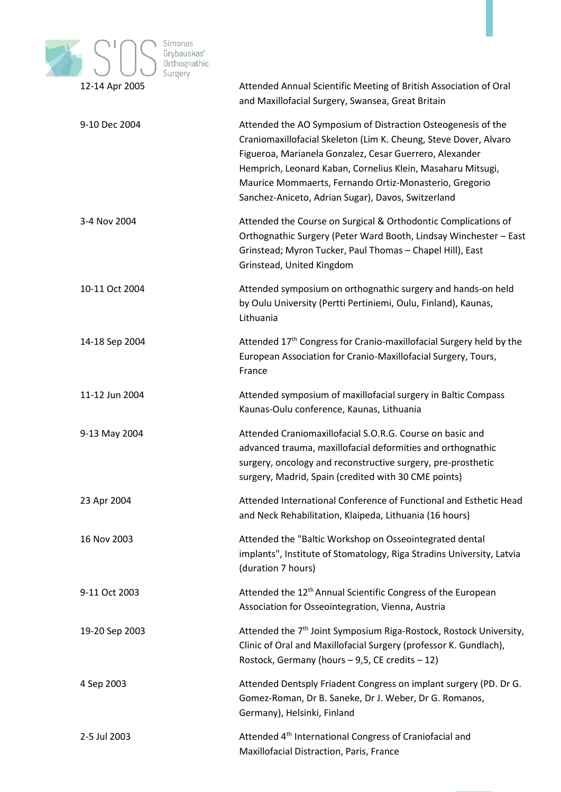

| $12 - 14$ Apr 2000 | Attended Annual Scientine Ivieeting of Dritish Association of Oral<br>and Maxillofacial Surgery, Swansea, Great Britain                                                                                                                                                                                                                                                    |
|--------------------|----------------------------------------------------------------------------------------------------------------------------------------------------------------------------------------------------------------------------------------------------------------------------------------------------------------------------------------------------------------------------|
| 9-10 Dec 2004      | Attended the AO Symposium of Distraction Osteogenesis of the<br>Craniomaxillofacial Skeleton (Lim K. Cheung, Steve Dover, Alvaro<br>Figueroa, Marianela Gonzalez, Cesar Guerrero, Alexander<br>Hemprich, Leonard Kaban, Cornelius Klein, Masaharu Mitsugi,<br>Maurice Mommaerts, Fernando Ortiz-Monasterio, Gregorio<br>Sanchez-Aniceto, Adrian Sugar), Davos, Switzerland |
| 3-4 Nov 2004       | Attended the Course on Surgical & Orthodontic Complications of<br>Orthognathic Surgery (Peter Ward Booth, Lindsay Winchester - East<br>Grinstead; Myron Tucker, Paul Thomas - Chapel Hill), East<br>Grinstead, United Kingdom                                                                                                                                              |
| 10-11 Oct 2004     | Attended symposium on orthognathic surgery and hands-on held<br>by Oulu University (Pertti Pertiniemi, Oulu, Finland), Kaunas,<br>Lithuania                                                                                                                                                                                                                                |
| 14-18 Sep 2004     | Attended 17 <sup>th</sup> Congress for Cranio-maxillofacial Surgery held by the<br>European Association for Cranio-Maxillofacial Surgery, Tours,<br>France                                                                                                                                                                                                                 |
| 11-12 Jun 2004     | Attended symposium of maxillofacial surgery in Baltic Compass<br>Kaunas-Oulu conference, Kaunas, Lithuania                                                                                                                                                                                                                                                                 |
| 9-13 May 2004      | Attended Craniomaxillofacial S.O.R.G. Course on basic and<br>advanced trauma, maxillofacial deformities and orthognathic<br>surgery, oncology and reconstructive surgery, pre-prosthetic<br>surgery, Madrid, Spain (credited with 30 CME points)                                                                                                                           |
| 23 Apr 2004        | Attended International Conference of Functional and Esthetic Head<br>and Neck Rehabilitation, Klaipeda, Lithuania (16 hours)                                                                                                                                                                                                                                               |
| 16 Nov 2003        | Attended the "Baltic Workshop on Osseointegrated dental<br>implants", Institute of Stomatology, Riga Stradins University, Latvia<br>(duration 7 hours)                                                                                                                                                                                                                     |
| 9-11 Oct 2003      | Attended the 12 <sup>th</sup> Annual Scientific Congress of the European<br>Association for Osseointegration, Vienna, Austria                                                                                                                                                                                                                                              |
| 19-20 Sep 2003     | Attended the 7 <sup>th</sup> Joint Symposium Riga-Rostock, Rostock University,<br>Clinic of Oral and Maxillofacial Surgery (professor K. Gundlach),<br>Rostock, Germany (hours $-9.5$ , CE credits $-12$ )                                                                                                                                                                 |
| 4 Sep 2003         | Attended Dentsply Friadent Congress on implant surgery (PD. Dr G.<br>Gomez-Roman, Dr B. Saneke, Dr J. Weber, Dr G. Romanos,<br>Germany), Helsinki, Finland                                                                                                                                                                                                                 |
| 2-5 Jul 2003       | Attended 4 <sup>th</sup> International Congress of Craniofacial and<br>Maxillofacial Distraction, Paris, France                                                                                                                                                                                                                                                            |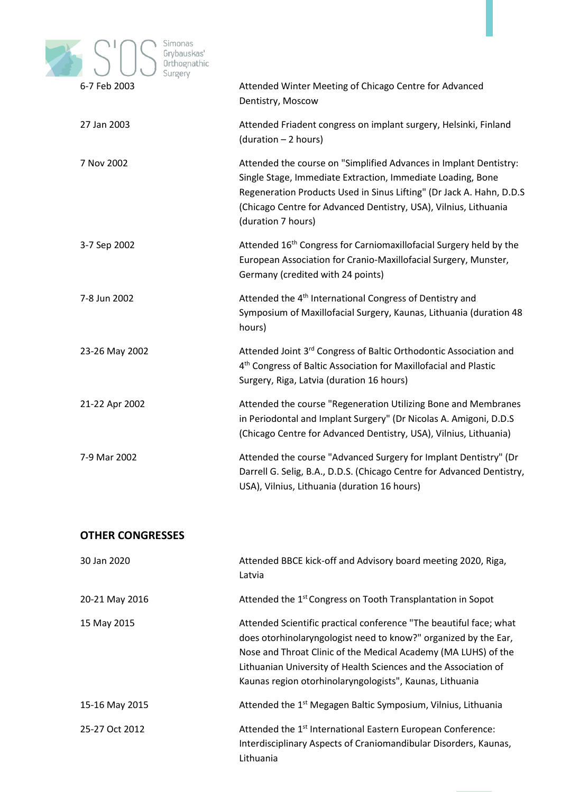

| <b>U-7 LED SOUP</b> | Attended Willter Meeting or Chicago Centre for Advanced<br>Dentistry, Moscow                                                                                                                                                                                                                       |
|---------------------|----------------------------------------------------------------------------------------------------------------------------------------------------------------------------------------------------------------------------------------------------------------------------------------------------|
| 27 Jan 2003         | Attended Friadent congress on implant surgery, Helsinki, Finland<br>(duration - 2 hours)                                                                                                                                                                                                           |
| 7 Nov 2002          | Attended the course on "Simplified Advances in Implant Dentistry:<br>Single Stage, Immediate Extraction, Immediate Loading, Bone<br>Regeneration Products Used in Sinus Lifting" (Dr Jack A. Hahn, D.D.S<br>(Chicago Centre for Advanced Dentistry, USA), Vilnius, Lithuania<br>(duration 7 hours) |
| 3-7 Sep 2002        | Attended 16 <sup>th</sup> Congress for Carniomaxillofacial Surgery held by the<br>European Association for Cranio-Maxillofacial Surgery, Munster,<br>Germany (credited with 24 points)                                                                                                             |
| 7-8 Jun 2002        | Attended the 4 <sup>th</sup> International Congress of Dentistry and<br>Symposium of Maxillofacial Surgery, Kaunas, Lithuania (duration 48<br>hours)                                                                                                                                               |
| 23-26 May 2002      | Attended Joint 3rd Congress of Baltic Orthodontic Association and<br>4 <sup>th</sup> Congress of Baltic Association for Maxillofacial and Plastic<br>Surgery, Riga, Latvia (duration 16 hours)                                                                                                     |
| 21-22 Apr 2002      | Attended the course "Regeneration Utilizing Bone and Membranes<br>in Periodontal and Implant Surgery" (Dr Nicolas A. Amigoni, D.D.S<br>(Chicago Centre for Advanced Dentistry, USA), Vilnius, Lithuania)                                                                                           |
| 7-9 Mar 2002        | Attended the course "Advanced Surgery for Implant Dentistry" (Dr<br>Darrell G. Selig, B.A., D.D.S. (Chicago Centre for Advanced Dentistry,<br>USA), Vilnius, Lithuania (duration 16 hours)                                                                                                         |
|                     |                                                                                                                                                                                                                                                                                                    |

## **OTHER CONGRESSES**

| 30 Jan 2020    | Attended BBCE kick-off and Advisory board meeting 2020, Riga,<br>Latvia                                                                                                                                                                                                                                                                |
|----------------|----------------------------------------------------------------------------------------------------------------------------------------------------------------------------------------------------------------------------------------------------------------------------------------------------------------------------------------|
| 20-21 May 2016 | Attended the 1 <sup>st</sup> Congress on Tooth Transplantation in Sopot                                                                                                                                                                                                                                                                |
| 15 May 2015    | Attended Scientific practical conference "The beautiful face; what<br>does otorhinolaryngologist need to know?" organized by the Ear,<br>Nose and Throat Clinic of the Medical Academy (MA LUHS) of the<br>Lithuanian University of Health Sciences and the Association of<br>Kaunas region otorhinolaryngologists", Kaunas, Lithuania |
| 15-16 May 2015 | Attended the 1 <sup>st</sup> Megagen Baltic Symposium, Vilnius, Lithuania                                                                                                                                                                                                                                                              |
| 25-27 Oct 2012 | Attended the 1 <sup>st</sup> International Eastern European Conference:<br>Interdisciplinary Aspects of Craniomandibular Disorders, Kaunas,<br>Lithuania                                                                                                                                                                               |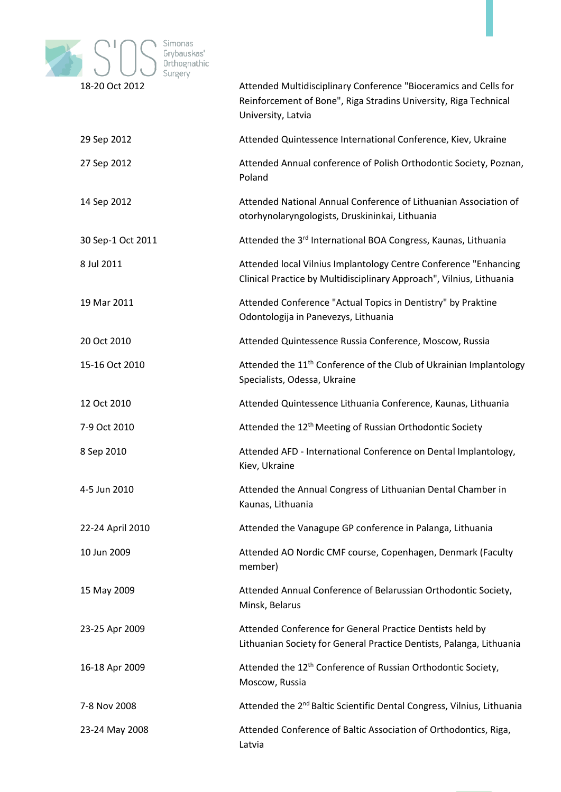

| 18-20 OCL 2012    | Attended Multidisciplinary Conference Bloceramics and Cells for<br>Reinforcement of Bone", Riga Stradins University, Riga Technical<br>University, Latvia |
|-------------------|-----------------------------------------------------------------------------------------------------------------------------------------------------------|
| 29 Sep 2012       | Attended Quintessence International Conference, Kiev, Ukraine                                                                                             |
| 27 Sep 2012       | Attended Annual conference of Polish Orthodontic Society, Poznan,<br>Poland                                                                               |
| 14 Sep 2012       | Attended National Annual Conference of Lithuanian Association of<br>otorhynolaryngologists, Druskininkai, Lithuania                                       |
| 30 Sep-1 Oct 2011 | Attended the 3 <sup>rd</sup> International BOA Congress, Kaunas, Lithuania                                                                                |
| 8 Jul 2011        | Attended local Vilnius Implantology Centre Conference "Enhancing<br>Clinical Practice by Multidisciplinary Approach", Vilnius, Lithuania                  |
| 19 Mar 2011       | Attended Conference "Actual Topics in Dentistry" by Praktine<br>Odontologija in Panevezys, Lithuania                                                      |
| 20 Oct 2010       | Attended Quintessence Russia Conference, Moscow, Russia                                                                                                   |
| 15-16 Oct 2010    | Attended the 11 <sup>th</sup> Conference of the Club of Ukrainian Implantology<br>Specialists, Odessa, Ukraine                                            |
| 12 Oct 2010       | Attended Quintessence Lithuania Conference, Kaunas, Lithuania                                                                                             |
| 7-9 Oct 2010      | Attended the 12 <sup>th</sup> Meeting of Russian Orthodontic Society                                                                                      |
| 8 Sep 2010        | Attended AFD - International Conference on Dental Implantology,<br>Kiev, Ukraine                                                                          |
| 4-5 Jun 2010      | Attended the Annual Congress of Lithuanian Dental Chamber in<br>Kaunas, Lithuania                                                                         |
| 22-24 April 2010  | Attended the Vanagupe GP conference in Palanga, Lithuania                                                                                                 |
| 10 Jun 2009       | Attended AO Nordic CMF course, Copenhagen, Denmark (Faculty<br>member)                                                                                    |
| 15 May 2009       | Attended Annual Conference of Belarussian Orthodontic Society,<br>Minsk, Belarus                                                                          |
| 23-25 Apr 2009    | Attended Conference for General Practice Dentists held by<br>Lithuanian Society for General Practice Dentists, Palanga, Lithuania                         |
| 16-18 Apr 2009    | Attended the 12 <sup>th</sup> Conference of Russian Orthodontic Society,<br>Moscow, Russia                                                                |
| 7-8 Nov 2008      | Attended the 2 <sup>nd</sup> Baltic Scientific Dental Congress, Vilnius, Lithuania                                                                        |
| 23-24 May 2008    | Attended Conference of Baltic Association of Orthodontics, Riga,<br>Latvia                                                                                |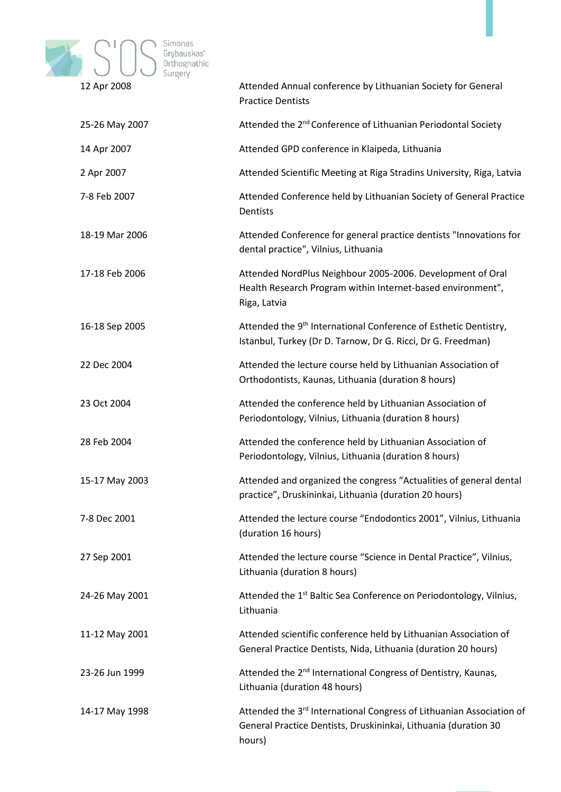

| IZ API ZUUD    | Attended Annual Conference by Elthuanian Society for General<br><b>Practice Dentists</b>                                                          |
|----------------|---------------------------------------------------------------------------------------------------------------------------------------------------|
| 25-26 May 2007 | Attended the 2 <sup>nd</sup> Conference of Lithuanian Periodontal Society                                                                         |
| 14 Apr 2007    | Attended GPD conference in Klaipeda, Lithuania                                                                                                    |
| 2 Apr 2007     | Attended Scientific Meeting at Riga Stradins University, Riga, Latvia                                                                             |
| 7-8 Feb 2007   | Attended Conference held by Lithuanian Society of General Practice<br>Dentists                                                                    |
| 18-19 Mar 2006 | Attended Conference for general practice dentists "Innovations for<br>dental practice", Vilnius, Lithuania                                        |
| 17-18 Feb 2006 | Attended NordPlus Neighbour 2005-2006. Development of Oral<br>Health Research Program within Internet-based environment",<br>Riga, Latvia         |
| 16-18 Sep 2005 | Attended the 9 <sup>th</sup> International Conference of Esthetic Dentistry,<br>Istanbul, Turkey (Dr D. Tarnow, Dr G. Ricci, Dr G. Freedman)      |
| 22 Dec 2004    | Attended the lecture course held by Lithuanian Association of<br>Orthodontists, Kaunas, Lithuania (duration 8 hours)                              |
| 23 Oct 2004    | Attended the conference held by Lithuanian Association of<br>Periodontology, Vilnius, Lithuania (duration 8 hours)                                |
| 28 Feb 2004    | Attended the conference held by Lithuanian Association of<br>Periodontology, Vilnius, Lithuania (duration 8 hours)                                |
| 15-17 May 2003 | Attended and organized the congress "Actualities of general dental<br>practice", Druskininkai, Lithuania (duration 20 hours)                      |
| 7-8 Dec 2001   | Attended the lecture course "Endodontics 2001", Vilnius, Lithuania<br>(duration 16 hours)                                                         |
| 27 Sep 2001    | Attended the lecture course "Science in Dental Practice", Vilnius,<br>Lithuania (duration 8 hours)                                                |
| 24-26 May 2001 | Attended the 1 <sup>st</sup> Baltic Sea Conference on Periodontology, Vilnius,<br>Lithuania                                                       |
| 11-12 May 2001 | Attended scientific conference held by Lithuanian Association of<br>General Practice Dentists, Nida, Lithuania (duration 20 hours)                |
| 23-26 Jun 1999 | Attended the 2 <sup>nd</sup> International Congress of Dentistry, Kaunas,<br>Lithuania (duration 48 hours)                                        |
| 14-17 May 1998 | Attended the 3rd International Congress of Lithuanian Association of<br>General Practice Dentists, Druskininkai, Lithuania (duration 30<br>hours) |